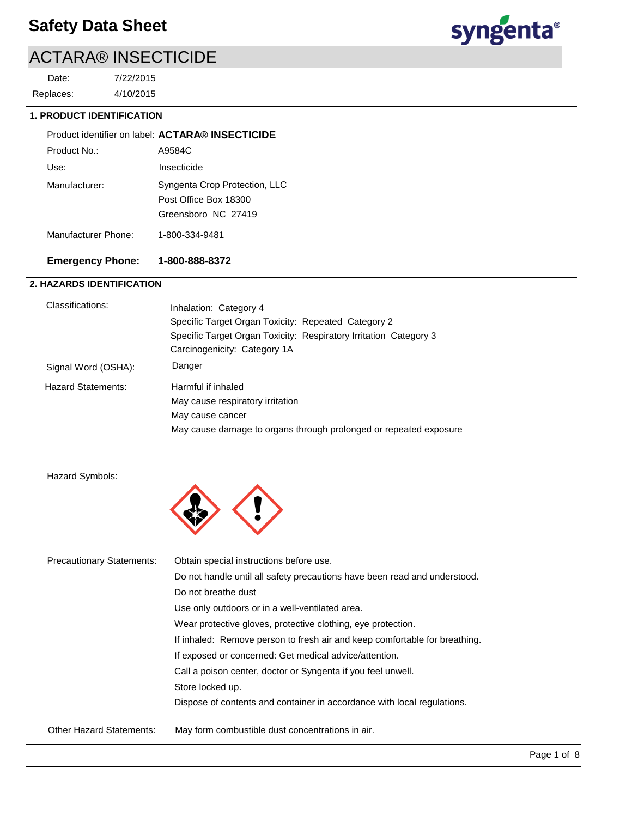4/10/2015 7/22/2015 Replaces: Date:



## **1. PRODUCT IDENTIFICATION**

|                     | Product identifier on label: ACTARA® INSECTICIDE                              |
|---------------------|-------------------------------------------------------------------------------|
| Product No.:        | A9584C                                                                        |
| Use:                | Insecticide                                                                   |
| Manufacturer:       | Syngenta Crop Protection, LLC<br>Post Office Box 18300<br>Greensboro NC 27419 |
| Manufacturer Phone: | 1-800-334-9481                                                                |

## **Emergency Phone: 1-800-888-8372**

## **2. HAZARDS IDENTIFICATION**

| Classifications:    | Inhalation: Category 4<br>Specific Target Organ Toxicity: Repeated Category 2<br>Specific Target Organ Toxicity: Respiratory Irritation Category 3<br>Carcinogenicity: Category 1A |
|---------------------|------------------------------------------------------------------------------------------------------------------------------------------------------------------------------------|
| Signal Word (OSHA): | Danger                                                                                                                                                                             |
| Hazard Statements:  | Harmful if inhaled                                                                                                                                                                 |
|                     |                                                                                                                                                                                    |
|                     | May cause respiratory irritation                                                                                                                                                   |
|                     | May cause cancer                                                                                                                                                                   |
|                     | May cause damage to organs through prolonged or repeated exposure                                                                                                                  |

## Hazard Symbols:



| <b>Precautionary Statements:</b> | Obtain special instructions before use.                                    |
|----------------------------------|----------------------------------------------------------------------------|
|                                  | Do not handle until all safety precautions have been read and understood.  |
|                                  | Do not breathe dust                                                        |
|                                  | Use only outdoors or in a well-ventilated area.                            |
|                                  | Wear protective gloves, protective clothing, eye protection.               |
|                                  | If inhaled: Remove person to fresh air and keep comfortable for breathing. |
|                                  | If exposed or concerned: Get medical advice/attention.                     |
|                                  | Call a poison center, doctor or Syngenta if you feel unwell.               |
|                                  | Store locked up.                                                           |
|                                  | Dispose of contents and container in accordance with local regulations.    |
| <b>Other Hazard Statements:</b>  | May form combustible dust concentrations in air.                           |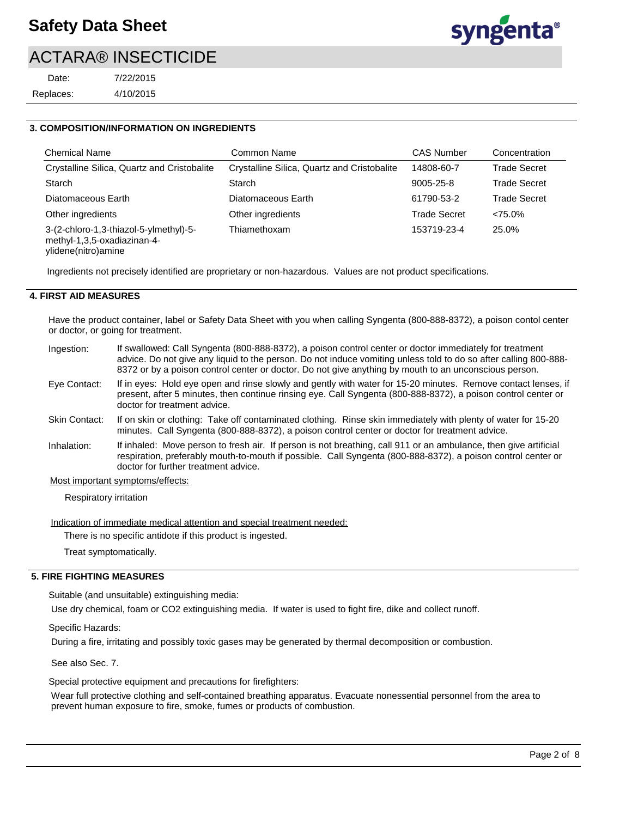| Date:     | 7/22/2015 |
|-----------|-----------|
| Replaces: | 4/10/2015 |



#### **3. COMPOSITION/INFORMATION ON INGREDIENTS**

| <b>Chemical Name</b>                                                  | Common Name                                 | <b>CAS Number</b>   | Concentration       |
|-----------------------------------------------------------------------|---------------------------------------------|---------------------|---------------------|
| Crystalline Silica, Quartz and Cristobalite                           | Crystalline Silica, Quartz and Cristobalite | 14808-60-7          | <b>Trade Secret</b> |
| Starch                                                                | Starch                                      | 9005-25-8           | <b>Trade Secret</b> |
| Diatomaceous Earth                                                    | Diatomaceous Earth                          | 61790-53-2          | <b>Trade Secret</b> |
| Other ingredients                                                     | Other ingredients                           | <b>Trade Secret</b> | $< 75.0\%$          |
| 3-(2-chloro-1,3-thiazol-5-ylmethyl)-5-<br>methyl-1,3,5-oxadiazinan-4- | Thiamethoxam                                | 153719-23-4         | 25.0%               |

ylidene(nitro)amine

Ingredients not precisely identified are proprietary or non-hazardous. Values are not product specifications.

#### **4. FIRST AID MEASURES**

Have the product container, label or Safety Data Sheet with you when calling Syngenta (800-888-8372), a poison contol center or doctor, or going for treatment.

| Ingestion:           | If swallowed: Call Syngenta (800-888-8372), a poison control center or doctor immediately for treatment<br>advice. Do not give any liquid to the person. Do not induce vomiting unless told to do so after calling 800-888-<br>8372 or by a poison control center or doctor. Do not give anything by mouth to an unconscious person. |
|----------------------|--------------------------------------------------------------------------------------------------------------------------------------------------------------------------------------------------------------------------------------------------------------------------------------------------------------------------------------|
| Eye Contact:         | If in eyes: Hold eye open and rinse slowly and gently with water for 15-20 minutes. Remove contact lenses, if<br>present, after 5 minutes, then continue rinsing eye. Call Syngenta (800-888-8372), a poison control center or<br>doctor for treatment advice.                                                                       |
| <b>Skin Contact:</b> | If on skin or clothing: Take off contaminated clothing. Rinse skin immediately with plenty of water for 15-20<br>minutes. Call Syngenta (800-888-8372), a poison control center or doctor for treatment advice.                                                                                                                      |
| Inhalation:          | If inhaled: Move person to fresh air. If person is not breathing, call 911 or an ambulance, then give artificial<br>respiration, preferably mouth-to-mouth if possible. Call Syngenta (800-888-8372), a poison control center or<br>doctor for further treatment advice.                                                             |
|                      | Most important symptoms/effects:                                                                                                                                                                                                                                                                                                     |

Respiratory irritation

Indication of immediate medical attention and special treatment needed:

There is no specific antidote if this product is ingested.

Treat symptomatically.

## **5. FIRE FIGHTING MEASURES**

Suitable (and unsuitable) extinguishing media:

Use dry chemical, foam or CO2 extinguishing media. If water is used to fight fire, dike and collect runoff.

Specific Hazards:

During a fire, irritating and possibly toxic gases may be generated by thermal decomposition or combustion.

See also Sec. 7.

Special protective equipment and precautions for firefighters:

Wear full protective clothing and self-contained breathing apparatus. Evacuate nonessential personnel from the area to prevent human exposure to fire, smoke, fumes or products of combustion.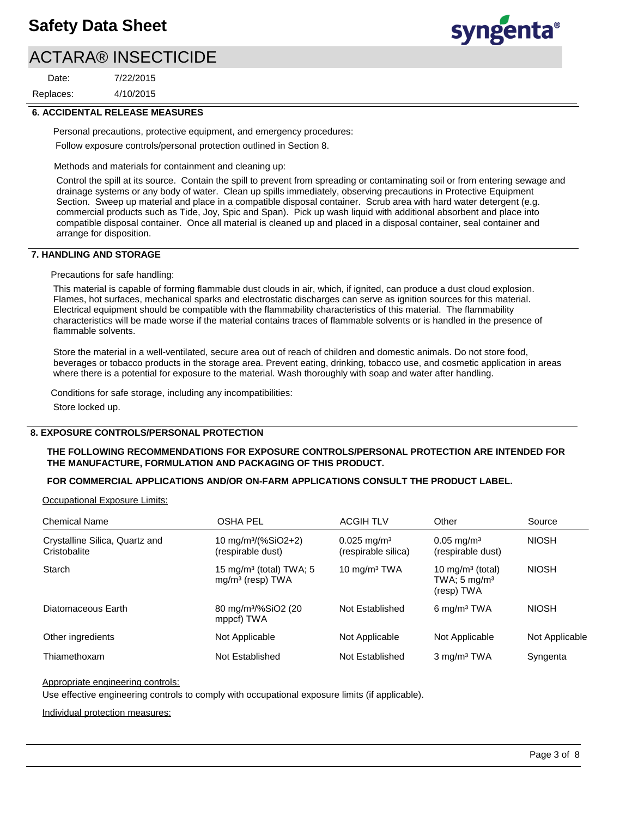4/10/2015 7/22/2015 Replaces: Date:



#### **6. ACCIDENTAL RELEASE MEASURES**

Personal precautions, protective equipment, and emergency procedures: Follow exposure controls/personal protection outlined in Section 8.

Methods and materials for containment and cleaning up:

Control the spill at its source. Contain the spill to prevent from spreading or contaminating soil or from entering sewage and drainage systems or any body of water. Clean up spills immediately, observing precautions in Protective Equipment Section. Sweep up material and place in a compatible disposal container. Scrub area with hard water detergent (e.g. commercial products such as Tide, Joy, Spic and Span). Pick up wash liquid with additional absorbent and place into compatible disposal container. Once all material is cleaned up and placed in a disposal container, seal container and arrange for disposition.

#### **7. HANDLING AND STORAGE**

Precautions for safe handling:

This material is capable of forming flammable dust clouds in air, which, if ignited, can produce a dust cloud explosion. Flames, hot surfaces, mechanical sparks and electrostatic discharges can serve as ignition sources for this material. Electrical equipment should be compatible with the flammability characteristics of this material. The flammability characteristics will be made worse if the material contains traces of flammable solvents or is handled in the presence of flammable solvents.

Store the material in a well-ventilated, secure area out of reach of children and domestic animals. Do not store food, beverages or tobacco products in the storage area. Prevent eating, drinking, tobacco use, and cosmetic application in areas where there is a potential for exposure to the material. Wash thoroughly with soap and water after handling.

Conditions for safe storage, including any incompatibilities:

Store locked up.

#### **8. EXPOSURE CONTROLS/PERSONAL PROTECTION**

#### **THE FOLLOWING RECOMMENDATIONS FOR EXPOSURE CONTROLS/PERSONAL PROTECTION ARE INTENDED FOR THE MANUFACTURE, FORMULATION AND PACKAGING OF THIS PRODUCT.**

#### **FOR COMMERCIAL APPLICATIONS AND/OR ON-FARM APPLICATIONS CONSULT THE PRODUCT LABEL.**

Occupational Exposure Limits:

| <b>Chemical Name</b>                           | <b>OSHA PEL</b>                                                     | <b>ACGIH TLV</b>                              | Other                                                                 | Source         |
|------------------------------------------------|---------------------------------------------------------------------|-----------------------------------------------|-----------------------------------------------------------------------|----------------|
| Crystalline Silica, Quartz and<br>Cristobalite | 10 mg/m <sup>3</sup> /(%SiO2+2)<br>(respirable dust)                | $0.025 \text{ mg/m}^3$<br>(respirable silica) | $0.05 \,\mathrm{mq/m^3}$<br>(respirable dust)                         | <b>NIOSH</b>   |
| Starch                                         | 15 mg/m <sup>3</sup> (total) TWA; 5<br>mg/m <sup>3</sup> (resp) TWA | 10 mg/m <sup>3</sup> TWA                      | 10 mg/m <sup>3</sup> (total)<br>TWA; $5 \text{ mg/m}^3$<br>(resp) TWA | <b>NIOSH</b>   |
| Diatomaceous Earth                             | 80 mg/m <sup>3</sup> /%SiO2 (20<br>mppcf) TWA                       | Not Established                               | $6 \text{ mg/m}^3$ TWA                                                | <b>NIOSH</b>   |
| Other ingredients                              | Not Applicable                                                      | Not Applicable                                | Not Applicable                                                        | Not Applicable |
| Thiamethoxam                                   | Not Established                                                     | Not Established                               | $3 \text{ mg/m}^3$ TWA                                                | Syngenta       |

#### Appropriate engineering controls:

Use effective engineering controls to comply with occupational exposure limits (if applicable).

Individual protection measures: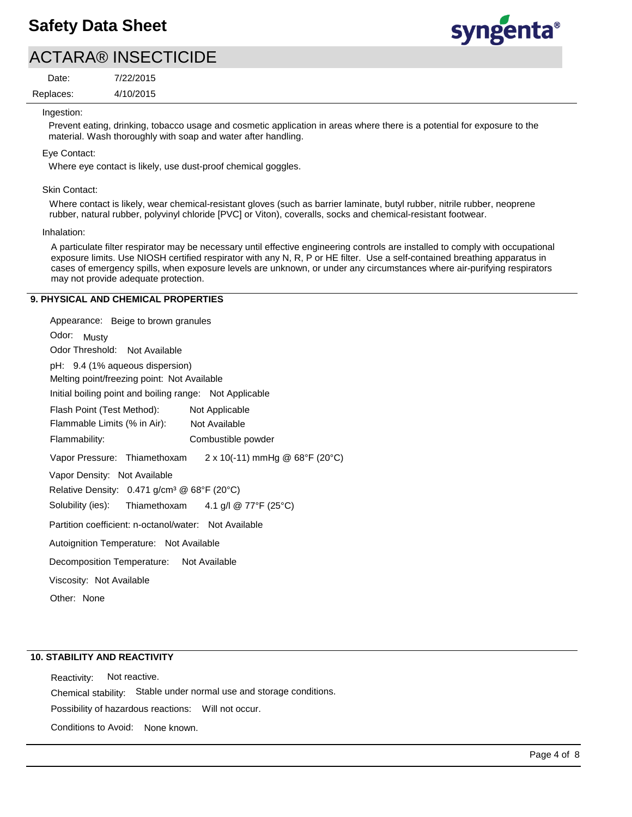# **Safety Data Sheet**

# ACTARA® INSECTICIDE

4/10/2015 7/22/2015 Replaces: Date:



Ingestion:

Prevent eating, drinking, tobacco usage and cosmetic application in areas where there is a potential for exposure to the material. Wash thoroughly with soap and water after handling.

Eye Contact:

Where eye contact is likely, use dust-proof chemical goggles.

#### Skin Contact:

Where contact is likely, wear chemical-resistant gloves (such as barrier laminate, butyl rubber, nitrile rubber, neoprene rubber, natural rubber, polyvinyl chloride [PVC] or Viton), coveralls, socks and chemical-resistant footwear.

#### Inhalation:

A particulate filter respirator may be necessary until effective engineering controls are installed to comply with occupational exposure limits. Use NIOSH certified respirator with any N, R, P or HE filter. Use a self-contained breathing apparatus in cases of emergency spills, when exposure levels are unknown, or under any circumstances where air-purifying respirators may not provide adequate protection.

#### **9. PHYSICAL AND CHEMICAL PROPERTIES**

Odor: Musty Appearance: Beige to brown granules Vapor Pressure: Thiamethoxam Solubility (ies): pH: 9.4 (1% aqueous dispersion) Initial boiling point and boiling range: Not Applicable Melting point/freezing point: Not Available Odor Threshold: Not Available Not Available Flammability: Combustible powder Not Applicable Autoignition Temperature: Not Available Flash Point (Test Method): Flammable Limits (% in Air): Vapor Density: Not Available Relative Density: 0.471 g/cm<sup>3</sup> @ 68°F (20°C) Decomposition Temperature: Not Available Viscosity: Not Available Partition coefficient: n-octanol/water: Not Available Other: None  $2 \times 10(-11)$  mmHg @ 68°F (20°C) Thiamethoxam 4.1 g/l @ 77°F (25°C)

## **10. STABILITY AND REACTIVITY**

Possibility of hazardous reactions: Will not occur. Chemical stability: Stable under normal use and storage conditions. Reactivity: Not reactive. Conditions to Avoid: None known.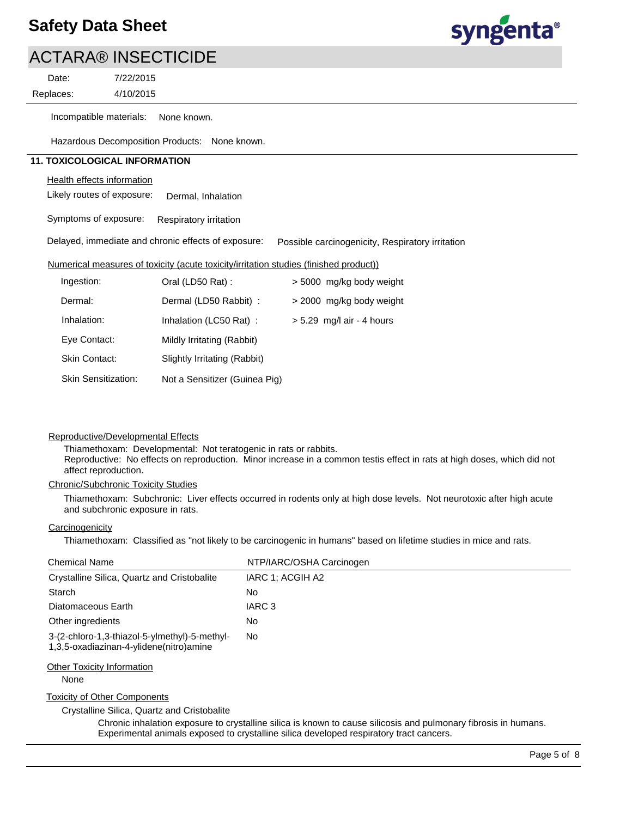

Replaces: Date:

4/10/2015 7/22/2015

Incompatible materials: None known.

Hazardous Decomposition Products: None known.

## **11. TOXICOLOGICAL INFORMATION**

#### Health effects information

Likely routes of exposure: Dermal, Inhalation

Symptoms of exposure: Respiratory irritation

Delayed, immediate and chronic effects of exposure: Possible carcinogenicity, Respiratory irritation

#### Numerical measures of toxicity (acute toxicity/irritation studies (finished product))

| Ingestion:                 | Oral (LD50 Rat):              | > 5000 mg/kg body weight    |
|----------------------------|-------------------------------|-----------------------------|
| Dermal:                    | Dermal (LD50 Rabbit) :        | > 2000 mg/kg body weight    |
| Inhalation:                | Inhalation (LC50 Rat):        | $> 5.29$ mg/l air - 4 hours |
| Eye Contact:               | Mildly Irritating (Rabbit)    |                             |
| <b>Skin Contact:</b>       | Slightly Irritating (Rabbit)  |                             |
| <b>Skin Sensitization:</b> | Not a Sensitizer (Guinea Pig) |                             |

#### Reproductive/Developmental Effects

Thiamethoxam: Developmental: Not teratogenic in rats or rabbits. Reproductive: No effects on reproduction. Minor increase in a common testis effect in rats at high doses, which did not affect reproduction.

#### Chronic/Subchronic Toxicity Studies

Thiamethoxam: Subchronic: Liver effects occurred in rodents only at high dose levels. Not neurotoxic after high acute and subchronic exposure in rats.

## **Carcinogenicity**

Thiamethoxam: Classified as "not likely to be carcinogenic in humans" based on lifetime studies in mice and rats.

| <b>Chemical Name</b>                                                                     | NTP/IARC/OSHA Carcinogen |
|------------------------------------------------------------------------------------------|--------------------------|
| Crystalline Silica, Quartz and Cristobalite                                              | IARC 1: ACGIH A2         |
| Starch                                                                                   | No                       |
| Diatomaceous Earth                                                                       | IARC 3                   |
| Other ingredients                                                                        | No.                      |
| 3-(2-chloro-1,3-thiazol-5-ylmethyl)-5-methyl-<br>1,3,5-oxadiazinan-4-ylidene(nitro)amine | No.                      |
| <b>Other Toxicity Information</b><br>None                                                |                          |
| <b>Toxicity of Other Components</b>                                                      |                          |

Crystalline Silica, Quartz and Cristobalite

Chronic inhalation exposure to crystalline silica is known to cause silicosis and pulmonary fibrosis in humans. Experimental animals exposed to crystalline silica developed respiratory tract cancers.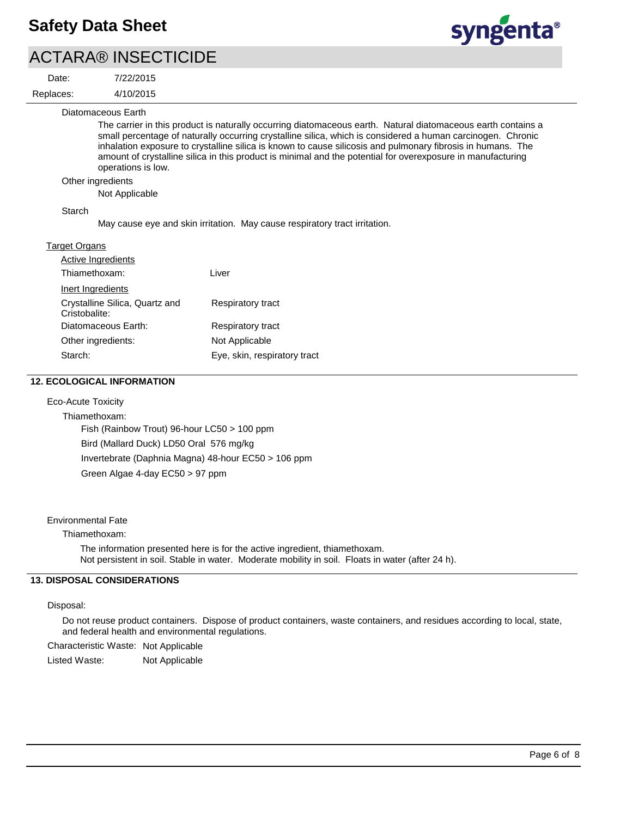4/10/2015 7/22/2015

Date:





Diatomaceous Earth

The carrier in this product is naturally occurring diatomaceous earth. Natural diatomaceous earth contains a small percentage of naturally occurring crystalline silica, which is considered a human carcinogen. Chronic inhalation exposure to crystalline silica is known to cause silicosis and pulmonary fibrosis in humans. The amount of crystalline silica in this product is minimal and the potential for overexposure in manufacturing operations is low.

#### Other ingredients

Not Applicable

#### Starch

May cause eye and skin irritation. May cause respiratory tract irritation.

#### Target Organs

| <b>Active Ingredients</b>                       |                              |
|-------------------------------------------------|------------------------------|
| Thiamethoxam:                                   | Liver                        |
| Inert Ingredients                               |                              |
| Crystalline Silica, Quartz and<br>Cristobalite: | Respiratory tract            |
| Diatomaceous Earth:                             | Respiratory tract            |
| Other ingredients:                              | Not Applicable               |
| Starch:                                         | Eye, skin, respiratory tract |

#### **12. ECOLOGICAL INFORMATION**

#### Eco-Acute Toxicity

Thiamethoxam: Fish (Rainbow Trout) 96-hour LC50 > 100 ppm Bird (Mallard Duck) LD50 Oral 576 mg/kg Invertebrate (Daphnia Magna) 48-hour EC50 > 106 ppm Green Algae 4-day EC50 > 97 ppm

#### Environmental Fate

#### Thiamethoxam:

The information presented here is for the active ingredient, thiamethoxam. Not persistent in soil. Stable in water. Moderate mobility in soil. Floats in water (after 24 h).

## **13. DISPOSAL CONSIDERATIONS**

#### Disposal:

Do not reuse product containers. Dispose of product containers, waste containers, and residues according to local, state, and federal health and environmental regulations.

Characteristic Waste: Not Applicable

Listed Waste: Not Applicable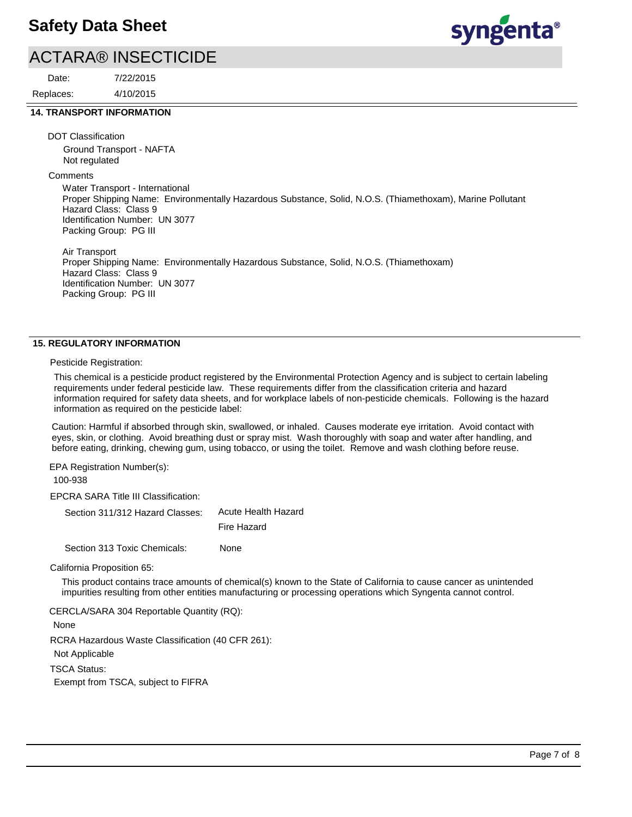4/10/2015 7/22/2015 Replaces: Date:

# syngenta®

## **14. TRANSPORT INFORMATION**

DOT Classification

Ground Transport - NAFTA Not regulated

**Comments** 

Water Transport - International Proper Shipping Name: Environmentally Hazardous Substance, Solid, N.O.S. (Thiamethoxam), Marine Pollutant Hazard Class: Class 9 Identification Number: UN 3077 Packing Group: PG III

Air Transport Proper Shipping Name: Environmentally Hazardous Substance, Solid, N.O.S. (Thiamethoxam) Hazard Class: Class 9 Identification Number: UN 3077 Packing Group: PG III

## **15. REGULATORY INFORMATION**

Pesticide Registration:

This chemical is a pesticide product registered by the Environmental Protection Agency and is subject to certain labeling requirements under federal pesticide law. These requirements differ from the classification criteria and hazard information required for safety data sheets, and for workplace labels of non-pesticide chemicals. Following is the hazard information as required on the pesticide label:

Caution: Harmful if absorbed through skin, swallowed, or inhaled. Causes moderate eye irritation. Avoid contact with eyes, skin, or clothing. Avoid breathing dust or spray mist. Wash thoroughly with soap and water after handling, and before eating, drinking, chewing gum, using tobacco, or using the toilet. Remove and wash clothing before reuse.

EPA Registration Number(s): 100-938

EPCRA SARA Title III Classification:

| Section 311/312 Hazard Classes: Acute Health Hazard |             |
|-----------------------------------------------------|-------------|
|                                                     | Fire Hazard |

Section 313 Toxic Chemicals: None

California Proposition 65:

This product contains trace amounts of chemical(s) known to the State of California to cause cancer as unintended impurities resulting from other entities manufacturing or processing operations which Syngenta cannot control.

CERCLA/SARA 304 Reportable Quantity (RQ):

None

RCRA Hazardous Waste Classification (40 CFR 261):

Not Applicable

TSCA Status:

Exempt from TSCA, subject to FIFRA